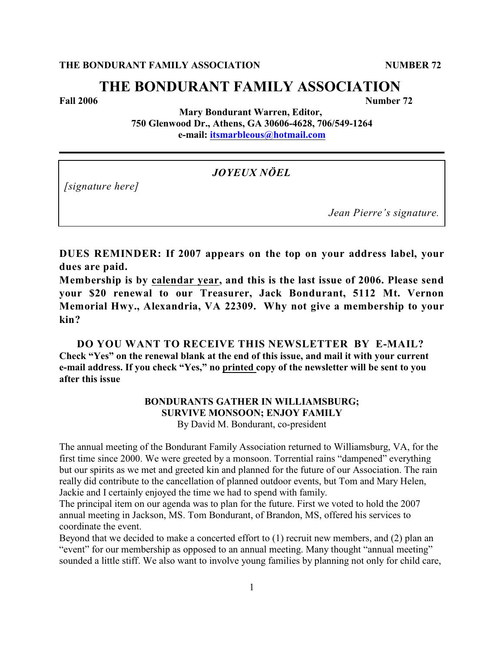# **THE BONDURANT FAMILY ASSOCIATION**

**Fall 2006** Number 72

**Mary Bondurant Warren, Editor, 750 Glenwood Dr., Athens, GA 30606-4628, 706/549-1264 e-mail: [itsmarbleous@hotmail.com](mailto:itsmarbleous@hotmail.com)**

*JOYEUX NÖEL*

*[signature here]*

*Jean Pierre's signature.*

**DUES REMINDER: If 2007 appears on the top on your address label, your dues are paid.**

**Membership is by calendar year, and this is the last issue of 2006. Please send your \$20 renewal to our Treasurer, Jack Bondurant, 5112 Mt. Vernon Memorial Hwy., Alexandria, VA 22309. Why not give a membership to your kin?**

**DO YOU WANT TO RECEIVE THIS NEWSLETTER BY E-MAIL? Check "Yes" on the renewal blank at the end of this issue, and mail it with your current e-mail address. If you check "Yes," no printed copy of the newsletter will be sent to you after this issue**

# **BONDURANTS GATHER IN WILLIAMSBURG; SURVIVE MONSOON; ENJOY FAMILY** By David M. Bondurant, co-president

The annual meeting of the Bondurant Family Association returned to Williamsburg, VA, for the first time since 2000. We were greeted by a monsoon. Torrential rains "dampened" everything but our spirits as we met and greeted kin and planned for the future of our Association. The rain really did contribute to the cancellation of planned outdoor events, but Tom and Mary Helen, Jackie and I certainly enjoyed the time we had to spend with family.

The principal item on our agenda was to plan for the future. First we voted to hold the 2007 annual meeting in Jackson, MS. Tom Bondurant, of Brandon, MS, offered his services to coordinate the event.

Beyond that we decided to make a concerted effort to (1) recruit new members, and (2) plan an "event" for our membership as opposed to an annual meeting. Many thought "annual meeting" sounded a little stiff. We also want to involve young families by planning not only for child care,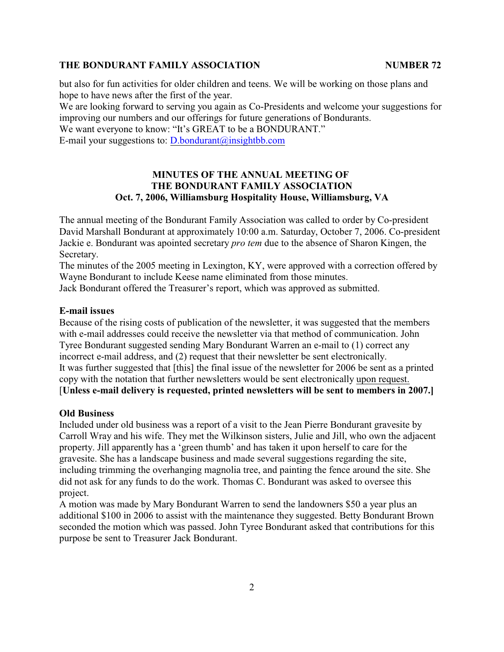but also for fun activities for older children and teens. We will be working on those plans and hope to have news after the first of the year.

We are looking forward to serving you again as Co-Presidents and welcome your suggestions for improving our numbers and our offerings for future generations of Bondurants.

We want everyone to know: "It's GREAT to be a BONDURANT." E-mail your suggestions to:  $D$  bondurant  $\omega$  insight bb.com

# **MINUTES OF THE ANNUAL MEETING OF THE BONDURANT FAMILY ASSOCIATION Oct. 7, 2006, Williamsburg Hospitality House, Williamsburg, VA**

The annual meeting of the Bondurant Family Association was called to order by Co-president David Marshall Bondurant at approximately 10:00 a.m. Saturday, October 7, 2006. Co-president Jackie e. Bondurant was apointed secretary *pro tem* due to the absence of Sharon Kingen, the Secretary.

The minutes of the 2005 meeting in Lexington, KY, were approved with a correction offered by Wayne Bondurant to include Keese name eliminated from those minutes.

Jack Bondurant offered the Treasurer's report, which was approved as submitted.

#### **E-mail issues**

Because of the rising costs of publication of the newsletter, it was suggested that the members with e-mail addresses could receive the newsletter via that method of communication. John Tyree Bondurant suggested sending Mary Bondurant Warren an e-mail to (1) correct any incorrect e-mail address, and (2) request that their newsletter be sent electronically. It was further suggested that [this] the final issue of the newsletter for 2006 be sent as a printed copy with the notation that further newsletters would be sent electronically upon request. [**Unless e-mail delivery is requested, printed newsletters will be sent to members in 2007.]**

# **Old Business**

Included under old business was a report of a visit to the Jean Pierre Bondurant gravesite by Carroll Wray and his wife. They met the Wilkinson sisters, Julie and Jill, who own the adjacent property. Jill apparently has a 'green thumb' and has taken it upon herself to care for the gravesite. She has a landscape business and made several suggestions regarding the site, including trimming the overhanging magnolia tree, and painting the fence around the site. She did not ask for any funds to do the work. Thomas C. Bondurant was asked to oversee this project.

A motion was made by Mary Bondurant Warren to send the landowners \$50 a year plus an additional \$100 in 2006 to assist with the maintenance they suggested. Betty Bondurant Brown seconded the motion which was passed. John Tyree Bondurant asked that contributions for this purpose be sent to Treasurer Jack Bondurant.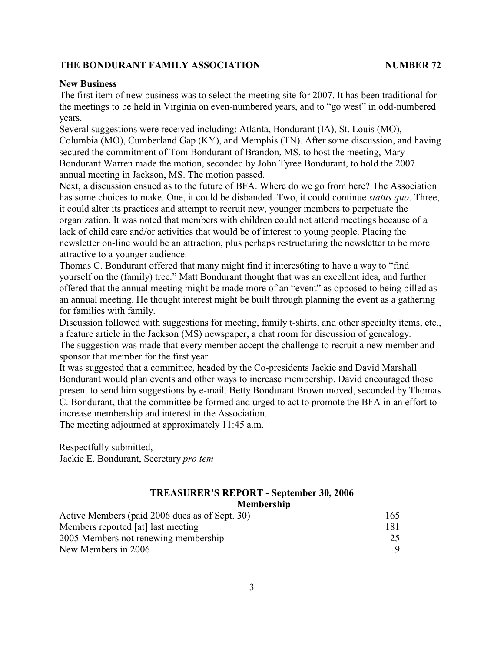# **New Business**

The first item of new business was to select the meeting site for 2007. It has been traditional for the meetings to be held in Virginia on even-numbered years, and to "go west" in odd-numbered years.

Several suggestions were received including: Atlanta, Bondurant (IA), St. Louis (MO), Columbia (MO), Cumberland Gap (KY), and Memphis (TN). After some discussion, and having secured the commitment of Tom Bondurant of Brandon, MS, to host the meeting, Mary Bondurant Warren made the motion, seconded by John Tyree Bondurant, to hold the 2007 annual meeting in Jackson, MS. The motion passed.

Next, a discussion ensued as to the future of BFA. Where do we go from here? The Association has some choices to make. One, it could be disbanded. Two, it could continue *status quo*. Three, it could alter its practices and attempt to recruit new, younger members to perpetuate the organization. It was noted that members with children could not attend meetings because of a lack of child care and/or activities that would be of interest to young people. Placing the newsletter on-line would be an attraction, plus perhaps restructuring the newsletter to be more attractive to a younger audience.

Thomas C. Bondurant offered that many might find it interes6ting to have a way to "find yourself on the (family) tree." Matt Bondurant thought that was an excellent idea, and further offered that the annual meeting might be made more of an "event" as opposed to being billed as an annual meeting. He thought interest might be built through planning the event as a gathering for families with family.

Discussion followed with suggestions for meeting, family t-shirts, and other specialty items, etc., a feature article in the Jackson (MS) newspaper, a chat room for discussion of genealogy. The suggestion was made that every member accept the challenge to recruit a new member and sponsor that member for the first year.

It was suggested that a committee, headed by the Co-presidents Jackie and David Marshall Bondurant would plan events and other ways to increase membership. David encouraged those present to send him suggestions by e-mail. Betty Bondurant Brown moved, seconded by Thomas C. Bondurant, that the committee be formed and urged to act to promote the BFA in an effort to increase membership and interest in the Association.

The meeting adjourned at approximately 11:45 a.m.

Respectfully submitted, Jackie E. Bondurant, Secretary *pro tem*

| <b>TREASURER'S REPORT - September 30, 2006</b> |  |
|------------------------------------------------|--|
| <b>Membership</b>                              |  |

| Active Members (paid 2006 dues as of Sept. 30) | 165 |
|------------------------------------------------|-----|
| Members reported [at] last meeting             | 181 |
| 2005 Members not renewing membership           | 25  |
| New Members in 2006                            |     |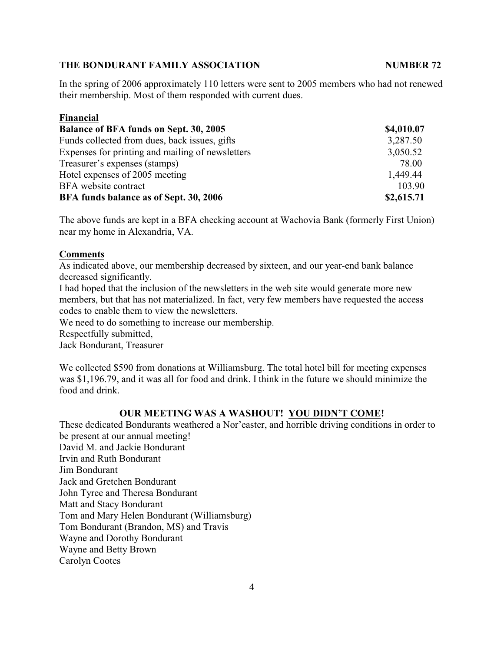In the spring of 2006 approximately 110 letters were sent to 2005 members who had not renewed their membership. Most of them responded with current dues.

| Financial                                        |            |
|--------------------------------------------------|------------|
| Balance of BFA funds on Sept. 30, 2005           | \$4,010.07 |
| Funds collected from dues, back issues, gifts    | 3,287.50   |
| Expenses for printing and mailing of newsletters | 3,050.52   |
| Treasurer's expenses (stamps)                    | 78.00      |
| Hotel expenses of 2005 meeting                   | 1,449.44   |
| BFA website contract                             | 103.90     |
| BFA funds balance as of Sept. 30, 2006           | \$2,615.71 |

The above funds are kept in a BFA checking account at Wachovia Bank (formerly First Union) near my home in Alexandria, VA.

# **Comments**

As indicated above, our membership decreased by sixteen, and our year-end bank balance decreased significantly.

I had hoped that the inclusion of the newsletters in the web site would generate more new members, but that has not materialized. In fact, very few members have requested the access codes to enable them to view the newsletters.

We need to do something to increase our membership.

Respectfully submitted,

Jack Bondurant, Treasurer

We collected \$590 from donations at Williamsburg. The total hotel bill for meeting expenses was \$1,196.79, and it was all for food and drink. I think in the future we should minimize the food and drink.

# **OUR MEETING WAS A WASHOUT! YOU DIDN'T COME!**

These dedicated Bondurants weathered a Nor'easter, and horrible driving conditions in order to be present at our annual meeting! David M. and Jackie Bondurant Irvin and Ruth Bondurant Jim Bondurant Jack and Gretchen Bondurant John Tyree and Theresa Bondurant Matt and Stacy Bondurant Tom and Mary Helen Bondurant (Williamsburg) Tom Bondurant (Brandon, MS) and Travis Wayne and Dorothy Bondurant Wayne and Betty Brown Carolyn Cootes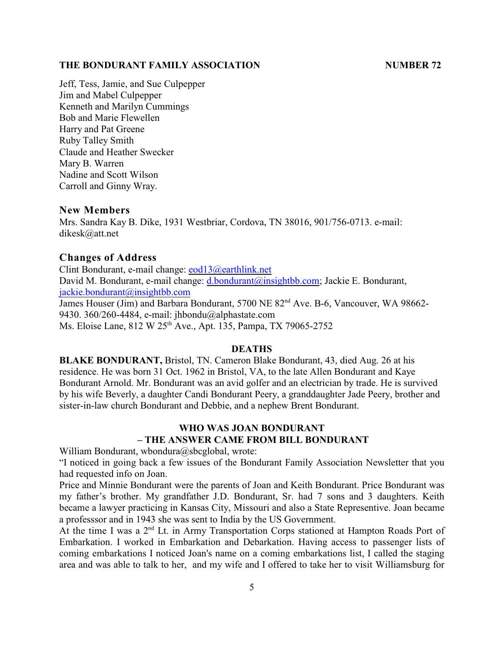Jeff, Tess, Jamie, and Sue Culpepper Jim and Mabel Culpepper Kenneth and Marilyn Cummings Bob and Marie Flewellen Harry and Pat Greene Ruby Talley Smith Claude and Heather Swecker Mary B. Warren Nadine and Scott Wilson Carroll and Ginny Wray.

# **New Members**

Mrs. Sandra Kay B. Dike, 1931 Westbriar, Cordova, TN 38016, 901/756-0713. e-mail: dikesk@att.net

#### **Changes of Address**

Clint Bondurant, e-mail change: [eod13@earthlink.net](mailto:eod13@earthlink.net) David M. Bondurant, e-mail change: [d.bondurant@insightbb.com](mailto:d.bondurant@insightbb.com); Jackie E. Bondurant, [jackie.bondurant@insightbb.com](mailto:jackie.bondurant@insightbb.com) James Houser (Jim) and Barbara Bondurant,  $5700$  NE  $82<sup>nd</sup>$  Ave. B-6, Vancouver, WA 98662-9430. 360/260-4484, e-mail: jhbondu@alphastate.com Ms. Eloise Lane, 812 W 25<sup>th</sup> Ave., Apt. 135, Pampa, TX 79065-2752

# **DEATHS**

**BLAKE BONDURANT,** Bristol, TN. Cameron Blake Bondurant, 43, died Aug. 26 at his residence. He was born 31 Oct. 1962 in Bristol, VA, to the late Allen Bondurant and Kaye Bondurant Arnold. Mr. Bondurant was an avid golfer and an electrician by trade. He is survived by his wife Beverly, a daughter Candi Bondurant Peery, a granddaughter Jade Peery, brother and sister-in-law church Bondurant and Debbie, and a nephew Brent Bondurant.

# **WHO WAS JOAN BONDURANT – THE ANSWER CAME FROM BILL BONDURANT**

William Bondurant, wbondura@sbcglobal, wrote:

"I noticed in going back a few issues of the Bondurant Family Association Newsletter that you had requested info on Joan.

Price and Minnie Bondurant were the parents of Joan and Keith Bondurant. Price Bondurant was my father's brother. My grandfather J.D. Bondurant, Sr. had 7 sons and 3 daughters. Keith became a lawyer practicing in Kansas City, Missouri and also a State Representive. Joan became a professsor and in 1943 she was sent to India by the US Government.

At the time I was a  $2<sup>nd</sup>$  Lt. in Army Transportation Corps stationed at Hampton Roads Port of Embarkation. I worked in Embarkation and Debarkation. Having access to passenger lists of coming embarkations I noticed Joan's name on a coming embarkations list, I called the staging area and was able to talk to her, and my wife and I offered to take her to visit Williamsburg for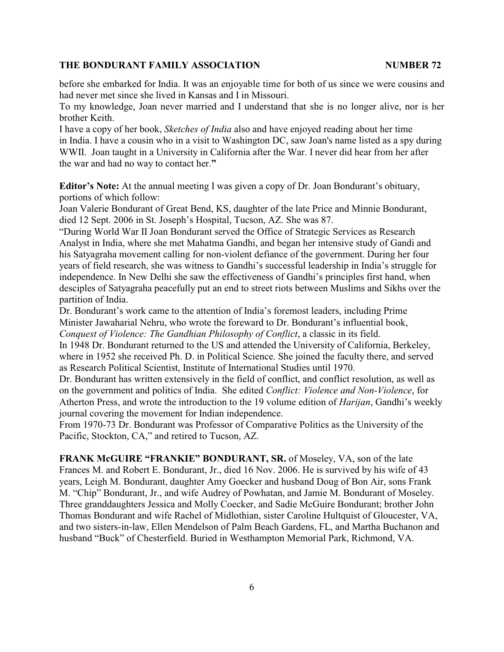before she embarked for India. It was an enjoyable time for both of us since we were cousins and had never met since she lived in Kansas and I in Missouri.

To my knowledge, Joan never married and I understand that she is no longer alive, nor is her brother Keith.

I have a copy of her book, *Sketches of India* also and have enjoyed reading about her time in India. I have a cousin who in a visit to Washington DC, saw Joan's name listed as a spy during WWII. Joan taught in a University in California after the War. I never did hear from her after the war and had no way to contact her.**"**

**Editor's Note:** At the annual meeting I was given a copy of Dr. Joan Bondurant's obituary, portions of which follow:

Joan Valerie Bondurant of Great Bend, KS, daughter of the late Price and Minnie Bondurant, died 12 Sept. 2006 in St. Joseph's Hospital, Tucson, AZ. She was 87.

"During World War II Joan Bondurant served the Office of Strategic Services as Research Analyst in India, where she met Mahatma Gandhi, and began her intensive study of Gandi and his Satyagraha movement calling for non-violent defiance of the government. During her four years of field research, she was witness to Gandhi's successful leadership in India's struggle for independence. In New Delhi she saw the effectiveness of Gandhi's principles first hand, when desciples of Satyagraha peacefully put an end to street riots between Muslims and Sikhs over the partition of India.

Dr. Bondurant's work came to the attention of India's foremost leaders, including Prime Minister Jawaharial Nehru, who wrote the foreward to Dr. Bondurant's influential book, *Conquest of Violence: The Gandhian Philosophy of Conflict*, a classic in its field.

In 1948 Dr. Bondurant returned to the US and attended the University of California, Berkeley, where in 1952 she received Ph. D. in Political Science. She joined the faculty there, and served as Research Political Scientist, Institute of International Studies until 1970.

Dr. Bondurant has written extensively in the field of conflict, and conflict resolution, as well as on the government and politics of India. She edited *Conflict: Violence and Non-Violence*, for Atherton Press, and wrote the introduction to the 19 volume edition of *Harijan*, Gandhi's weekly journal covering the movement for Indian independence.

From 1970-73 Dr. Bondurant was Professor of Comparative Politics as the University of the Pacific, Stockton, CA," and retired to Tucson, AZ.

**FRANK McGUIRE "FRANKIE" BONDURANT, SR.** of Moseley, VA, son of the late Frances M. and Robert E. Bondurant, Jr., died 16 Nov. 2006. He is survived by his wife of 43 years, Leigh M. Bondurant, daughter Amy Goecker and husband Doug of Bon Air, sons Frank M. "Chip" Bondurant, Jr., and wife Audrey of Powhatan, and Jamie M. Bondurant of Moseley. Three granddaughters Jessica and Molly Coecker, and Sadie McGuire Bondurant; brother John Thomas Bondurant and wife Rachel of Midlothian, sister Caroline Hultquist of Gloucester, VA, and two sisters-in-law, Ellen Mendelson of Palm Beach Gardens, FL, and Martha Buchanon and husband "Buck" of Chesterfield. Buried in Westhampton Memorial Park, Richmond, VA.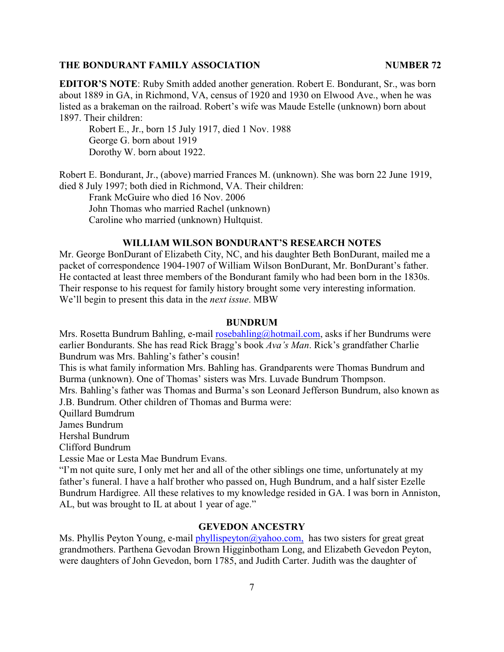**EDITOR'S NOTE**: Ruby Smith added another generation. Robert E. Bondurant, Sr., was born about 1889 in GA, in Richmond, VA, census of 1920 and 1930 on Elwood Ave., when he was listed as a brakeman on the railroad. Robert's wife was Maude Estelle (unknown) born about 1897. Their children:

Robert E., Jr., born 15 July 1917, died 1 Nov. 1988 George G. born about 1919 Dorothy W. born about 1922.

Robert E. Bondurant, Jr., (above) married Frances M. (unknown). She was born 22 June 1919, died 8 July 1997; both died in Richmond, VA. Their children:

Frank McGuire who died 16 Nov. 2006 John Thomas who married Rachel (unknown) Caroline who married (unknown) Hultquist.

# **WILLIAM WILSON BONDURANT'S RESEARCH NOTES**

Mr. George BonDurant of Elizabeth City, NC, and his daughter Beth BonDurant, mailed me a packet of correspondence 1904-1907 of William Wilson BonDurant, Mr. BonDurant's father. He contacted at least three members of the Bondurant family who had been born in the 1830s. Their response to his request for family history brought some very interesting information. We'll begin to present this data in the *next issue*. MBW

#### **BUNDRUM**

Mrs. Rosetta Bundrum Bahling, e-mail [rosebahling@hotmail.com](mailto:rosebahling@hotmail.com), asks if her Bundrums were earlier Bondurants. She has read Rick Bragg's book *Ava's Man*. Rick's grandfather Charlie Bundrum was Mrs. Bahling's father's cousin!

This is what family information Mrs. Bahling has. Grandparents were Thomas Bundrum and Burma (unknown). One of Thomas' sisters was Mrs. Luvade Bundrum Thompson.

Mrs. Bahling's father was Thomas and Burma's son Leonard Jefferson Bundrum, also known as J.B. Bundrum. Other children of Thomas and Burma were:

Quillard Bumdrum

James Bundrum

Hershal Bundrum

Clifford Bundrum

Lessie Mae or Lesta Mae Bundrum Evans.

"I'm not quite sure, I only met her and all of the other siblings one time, unfortunately at my father's funeral. I have a half brother who passed on, Hugh Bundrum, and a half sister Ezelle Bundrum Hardigree. All these relatives to my knowledge resided in GA. I was born in Anniston, AL, but was brought to IL at about 1 year of age."

#### **GEVEDON ANCESTRY**

Ms. Phyllis Peyton Young, e-mail [phyllispeyton@yahoo.com,](mailto:phyllispeyton@yahoo.com,) has two sisters for great great grandmothers. Parthena Gevodan Brown Higginbotham Long, and Elizabeth Gevedon Peyton, were daughters of John Gevedon, born 1785, and Judith Carter. Judith was the daughter of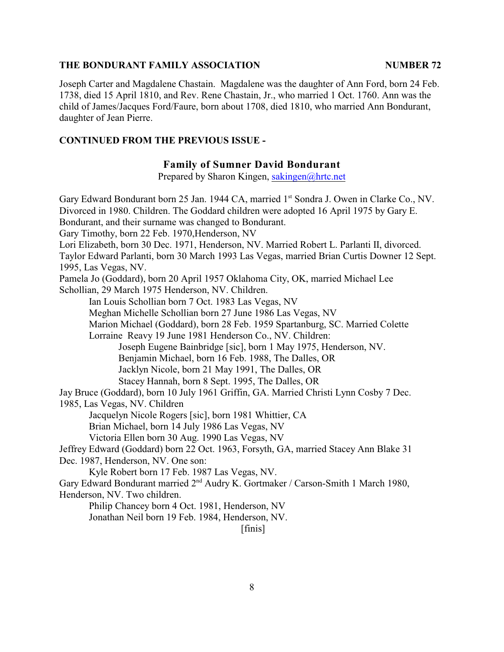Joseph Carter and Magdalene Chastain. Magdalene was the daughter of Ann Ford, born 24 Feb. 1738, died 15 April 1810, and Rev. Rene Chastain, Jr., who married 1 Oct. 1760. Ann was the child of James/Jacques Ford/Faure, born about 1708, died 1810, who married Ann Bondurant, daughter of Jean Pierre.

# **CONTINUED FROM THE PREVIOUS ISSUE -**

# **Family of Sumner David Bondurant**

Prepared by Sharon Kingen, [sakingen@hrtc.net](mailto:sakingen@hrtc.net)

Gary Edward Bondurant born 25 Jan. 1944 CA, married 1<sup>st</sup> Sondra J. Owen in Clarke Co., NV. Divorced in 1980. Children. The Goddard children were adopted 16 April 1975 by Gary E. Bondurant, and their surname was changed to Bondurant. Gary Timothy, born 22 Feb. 1970,Henderson, NV Lori Elizabeth, born 30 Dec. 1971, Henderson, NV. Married Robert L. Parlanti II, divorced. Taylor Edward Parlanti, born 30 March 1993 Las Vegas, married Brian Curtis Downer 12 Sept. 1995, Las Vegas, NV. Pamela Jo (Goddard), born 20 April 1957 Oklahoma City, OK, married Michael Lee Schollian, 29 March 1975 Henderson, NV. Children. Ian Louis Schollian born 7 Oct. 1983 Las Vegas, NV Meghan Michelle Schollian born 27 June 1986 Las Vegas, NV Marion Michael (Goddard), born 28 Feb. 1959 Spartanburg, SC. Married Colette Lorraine Reavy 19 June 1981 Henderson Co., NV. Children: Joseph Eugene Bainbridge [sic], born 1 May 1975, Henderson, NV. Benjamin Michael, born 16 Feb. 1988, The Dalles, OR Jacklyn Nicole, born 21 May 1991, The Dalles, OR Stacey Hannah, born 8 Sept. 1995, The Dalles, OR Jay Bruce (Goddard), born 10 July 1961 Griffin, GA. Married Christi Lynn Cosby 7 Dec. 1985, Las Vegas, NV. Children Jacquelyn Nicole Rogers [sic], born 1981 Whittier, CA Brian Michael, born 14 July 1986 Las Vegas, NV Victoria Ellen born 30 Aug. 1990 Las Vegas, NV Jeffrey Edward (Goddard) born 22 Oct. 1963, Forsyth, GA, married Stacey Ann Blake 31 Dec. 1987, Henderson, NV. One son: Kyle Robert born 17 Feb. 1987 Las Vegas, NV. Gary Edward Bondurant married 2<sup>nd</sup> Audry K. Gortmaker / Carson-Smith 1 March 1980, Henderson, NV. Two children. Philip Chancey born 4 Oct. 1981, Henderson, NV

Jonathan Neil born 19 Feb. 1984, Henderson, NV.

[finis]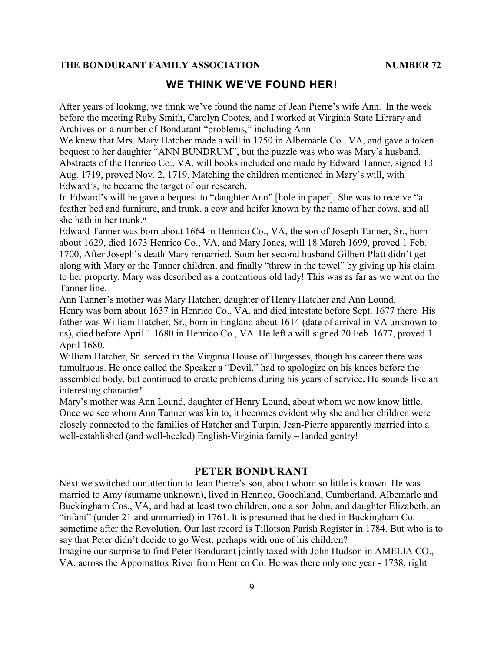# **WE THINK WE'VE FOUND HER!**

After years of looking, we think we've found the name of Jean Pierre's wife Ann.In the week before the meeting Ruby Smith, Carolyn Cootes, and I worked at Virginia State Library and Archives on a number of Bondurant "problems," including Ann.

We knew that Mrs. Mary Hatcher made a will in 1750 in Albemarle Co., VA, and gave a token bequest to her daughter "ANN BUNDRUM", but the puzzle was who was Mary's husband. Abstracts of the Henrico Co., VA, will books included one made by Edward Tanner, signed 13 Aug. 1719, proved Nov. 2, 1719. Matching the children mentioned in Mary's will, with Edward's, he became the target of our research.

In Edward's will he gave a bequest to "daughter Ann" [hole in paper]. She was to receive "a feather bed and furniture, and trunk, a cow and heifer known by the name of her cows, and all she hath in her trunk.**"**

Edward Tanner was born about 1664 in Henrico Co., VA, the son of Joseph Tanner, Sr., born about 1629, died 1673 Henrico Co., VA, and Mary Jones, will 18 March 1699, proved 1 Feb. 1700, After Joseph's death Mary remarried. Soon her second husband Gilbert Platt didn't get along with Mary or the Tanner children, and finally "threw in the towel" by giving up his claim to her property**.** Mary was described as a contentious old lady! This was as far as we went on the Tanner line.

Ann Tanner's mother was Mary Hatcher, daughter of Henry Hatcher and Ann Lound. Henry was born about 1637 in Henrico Co., VA, and died intestate before Sept. 1677 there. His

father was William Hatcher, Sr., born in England about 1614 (date of arrival in VA unknown to us), died before April 1 1680 in Henrico Co., VA. He left a will signed 20 Feb. 1677, proved 1 April 1680.

William Hatcher, Sr. served in the Virginia House of Burgesses, though his career there was tumultuous. He once called the Speaker a "Devil," had to apologize on his knees before the assembled body, but continued to create problems during his years of service**.** He sounds like an interesting character!

Mary's mother was Ann Lound, daughter of Henry Lound, about whom we now know little. Once we see whom Ann Tanner was kin to, it becomes evident why she and her children were closely connected to the families of Hatcher and Turpin. Jean-Pierre apparently married into a well-established (and well-heeled) English-Virginia family – landed gentry!

# **PETER BONDURANT**

Next we switched our attention to Jean Pierre's son, about whom so little is known. He was married to Amy (surname unknown), lived in Henrico, Goochland, Cumberland, Albemarle and Buckingham Cos., VA, and had at least two children, one a son John, and daughter Elizabeth, an "infant" (under 21 and unmarried) in 1761. It is presumed that he died in Buckingham Co. sometime after the Revolution. Our last record is Tillotson Parish Register in 1784. But who is to say that Peter didn't decide to go West, perhaps with one of his children?

Imagine our surprise to find Peter Bondurant jointly taxed with John Hudson in AMELIA CO., VA, across the Appomattox River from Henrico Co. He was there only one year - 1738, right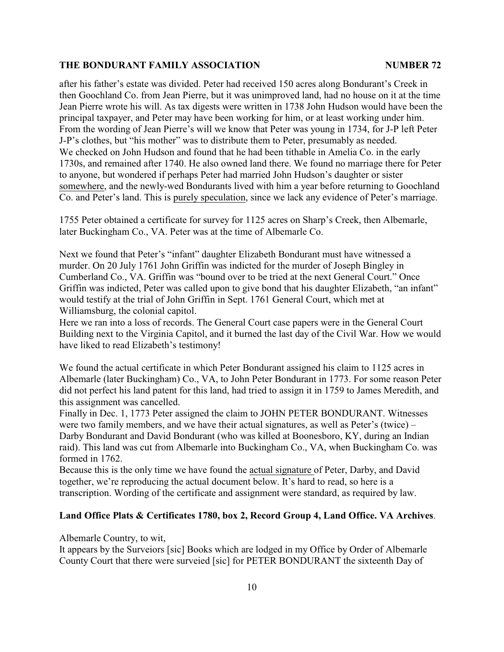after his father's estate was divided. Peter had received 150 acres along Bondurant's Creek in then Goochland Co. from Jean Pierre, but it was unimproved land, had no house on it at the time Jean Pierre wrote his will. As tax digests were written in 1738 John Hudson would have been the principal taxpayer, and Peter may have been working for him, or at least working under him. From the wording of Jean Pierre's will we know that Peter was young in 1734, for J-P left Peter J-P's clothes, but "his mother" was to distribute them to Peter, presumably as needed. We checked on John Hudson and found that he had been tithable in Amelia Co. in the early 1730s, and remained after 1740. He also owned land there. We found no marriage there for Peter to anyone, but wondered if perhaps Peter had married John Hudson's daughter or sister somewhere, and the newly-wed Bondurants lived with him a year before returning to Goochland Co. and Peter's land. This is purely speculation, since we lack any evidence of Peter's marriage.

1755 Peter obtained a certificate for survey for 1125 acres on Sharp's Creek, then Albemarle, later Buckingham Co., VA. Peter was at the time of Albemarle Co.

Next we found that Peter's "infant" daughter Elizabeth Bondurant must have witnessed a murder. On 20 July 1761 John Griffin was indicted for the murder of Joseph Bingley in Cumberland Co., VA. Griffin was "bound over to be tried at the next General Court." Once Griffin was indicted, Peter was called upon to give bond that his daughter Elizabeth, "an infant" would testify at the trial of John Griffin in Sept. 1761 General Court, which met at Williamsburg, the colonial capitol.

Here we ran into a loss of records. The General Court case papers were in the General Court Building next to the Virginia Capitol, and it burned the last day of the Civil War. How we would have liked to read Elizabeth's testimony!

We found the actual certificate in which Peter Bondurant assigned his claim to 1125 acres in Albemarle (later Buckingham) Co., VA, to John Peter Bondurant in 1773. For some reason Peter did not perfect his land patent for this land, had tried to assign it in 1759 to James Meredith, and this assignment was cancelled.

Finally in Dec. 1, 1773 Peter assigned the claim to JOHN PETER BONDURANT. Witnesses were two family members, and we have their actual signatures, as well as Peter's (twice) – Darby Bondurant and David Bondurant (who was killed at Boonesboro, KY, during an Indian raid). This land was cut from Albemarle into Buckingham Co., VA, when Buckingham Co. was formed in 1762.

Because this is the only time we have found the actual signature of Peter, Darby, and David together, we're reproducing the actual document below. It's hard to read, so here is a transcription. Wording of the certificate and assignment were standard, as required by law.

#### **Land Office Plats & Certificates 1780, box 2, Record Group 4, Land Office. VA Archives**.

Albemarle Country, to wit,

It appears by the Surveiors [sic] Books which are lodged in my Office by Order of Albemarle County Court that there were surveied [sic] for PETER BONDURANT the sixteenth Day of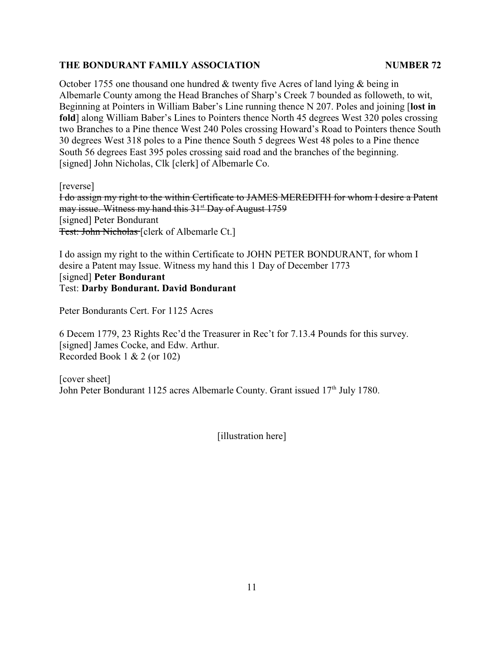October 1755 one thousand one hundred  $&$  twenty five Acres of land lying  $&$  being in Albemarle County among the Head Branches of Sharp's Creek 7 bounded as followeth, to wit, Beginning at Pointers in William Baber's Line running thence N 207. Poles and joining [**lost in fold**] along William Baber's Lines to Pointers thence North 45 degrees West 320 poles crossing two Branches to a Pine thence West 240 Poles crossing Howard's Road to Pointers thence South 30 degrees West 318 poles to a Pine thence South 5 degrees West 48 poles to a Pine thence South 56 degrees East 395 poles crossing said road and the branches of the beginning. [signed] John Nicholas, Clk [clerk] of Albemarle Co.

[reverse]

I do assign my right to the within Certificate to JAMES MEREDITH for whom I desire a Patent may issue. Witness my hand this 31<sup>st</sup> Day of August 1759 [signed] Peter Bondurant Test: John Nicholas [clerk of Albemarle Ct.]

I do assign my right to the within Certificate to JOHN PETER BONDURANT, for whom I desire a Patent may Issue. Witness my hand this 1 Day of December 1773 [signed] **Peter Bondurant** Test: **Darby Bondurant. David Bondurant**

Peter Bondurants Cert. For 1125 Acres

6 Decem 1779, 23 Rights Rec'd the Treasurer in Rec't for 7.13.4 Pounds for this survey. [signed] James Cocke, and Edw. Arthur. Recorded Book 1 & 2 (or 102)

[cover sheet] John Peter Bondurant 1125 acres Albemarle County. Grant issued  $17<sup>th</sup>$  July 1780.

[illustration here]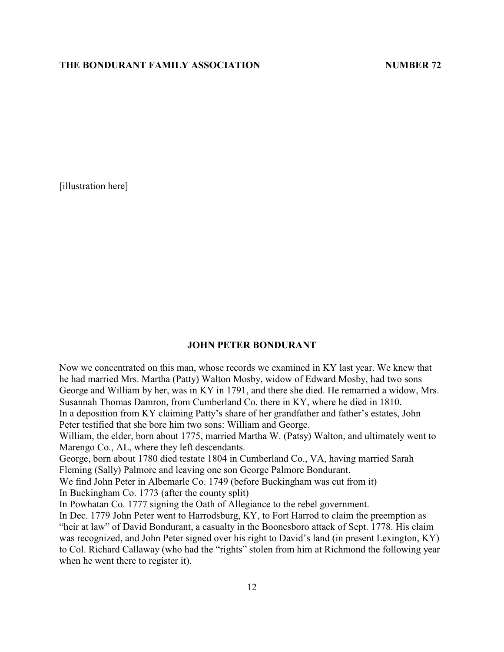[illustration here]

#### **JOHN PETER BONDURANT**

Now we concentrated on this man, whose records we examined in KY last year. We knew that he had married Mrs. Martha (Patty) Walton Mosby, widow of Edward Mosby, had two sons George and William by her, was in KY in 1791, and there she died. He remarried a widow, Mrs. Susannah Thomas Damron, from Cumberland Co. there in KY, where he died in 1810. In a deposition from KY claiming Patty's share of her grandfather and father's estates, John Peter testified that she bore him two sons: William and George.

William, the elder, born about 1775, married Martha W. (Patsy) Walton, and ultimately went to Marengo Co., AL, where they left descendants.

George, born about 1780 died testate 1804 in Cumberland Co., VA, having married Sarah Fleming (Sally) Palmore and leaving one son George Palmore Bondurant.

We find John Peter in Albemarle Co. 1749 (before Buckingham was cut from it)

In Buckingham Co. 1773 (after the county split)

In Powhatan Co. 1777 signing the Oath of Allegiance to the rebel government.

In Dec. 1779 John Peter went to Harrodsburg, KY, to Fort Harrod to claim the preemption as "heir at law" of David Bondurant, a casualty in the Boonesboro attack of Sept. 1778. His claim was recognized, and John Peter signed over his right to David's land (in present Lexington, KY) to Col. Richard Callaway (who had the "rights" stolen from him at Richmond the following year when he went there to register it).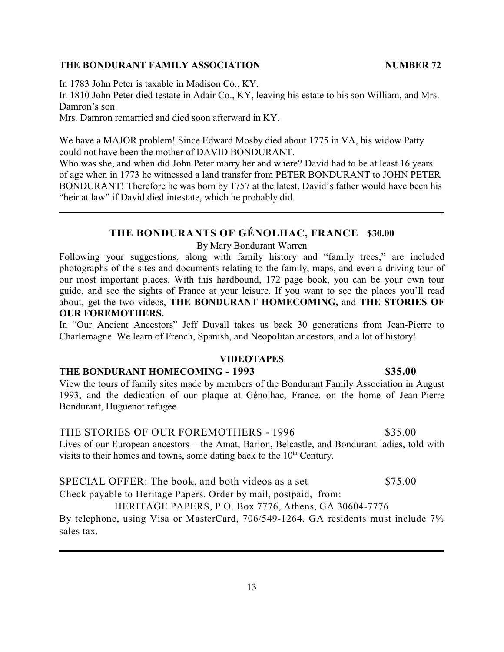In 1783 John Peter is taxable in Madison Co., KY.

In 1810 John Peter died testate in Adair Co., KY, leaving his estate to his son William, and Mrs. Damron's son.

Mrs. Damron remarried and died soon afterward in KY.

We have a MAJOR problem! Since Edward Mosby died about 1775 in VA, his widow Patty could not have been the mother of DAVID BONDURANT.

Who was she, and when did John Peter marry her and where? David had to be at least 16 years of age when in 1773 he witnessed a land transfer from PETER BONDURANT to JOHN PETER BONDURANT! Therefore he was born by 1757 at the latest. David's father would have been his "heir at law" if David died intestate, which he probably did.

# **THE BONDURANTS OF GÉNOLHAC, FRANCE \$30.00**

By Mary Bondurant Warren

Following your suggestions, along with family history and "family trees," are included photographs of the sites and documents relating to the family, maps, and even a driving tour of our most important places. With this hardbound, 172 page book, you can be your own tour guide, and see the sights of France at your leisure. If you want to see the places you'll read about, get the two videos, **THE BONDURANT HOMECOMING,** and **THE STORIES OF OUR FOREMOTHERS.**

In "Our Ancient Ancestors" Jeff Duvall takes us back 30 generations from Jean-Pierre to Charlemagne. We learn of French, Spanish, and Neopolitan ancestors, and a lot of history!

# **VIDEOTAPES**

# **THE BONDURANT HOMECOMING - 1993 \$35.00**

View the tours of family sites made by members of the Bondurant Family Association in August 1993, and the dedication of our plaque at Génolhac, France, on the home of Jean-Pierre Bondurant, Huguenot refugee.

THE STORIES OF OUR FOREMOTHERS - 1996 \$35.00 Lives of our European ancestors – the Amat, Barjon, Belcastle, and Bondurant ladies, told with visits to their homes and towns, some dating back to the  $10<sup>th</sup>$  Century.

SPECIAL OFFER: The book, and both videos as a set \$75.00 Check payable to Heritage Papers. Order by mail, postpaid, from:

HERITAGE PAPERS, P.O. Box 7776, Athens, GA 30604-7776

By telephone, using Visa or MasterCard, 706/549-1264. GA residents must include 7% sales tax.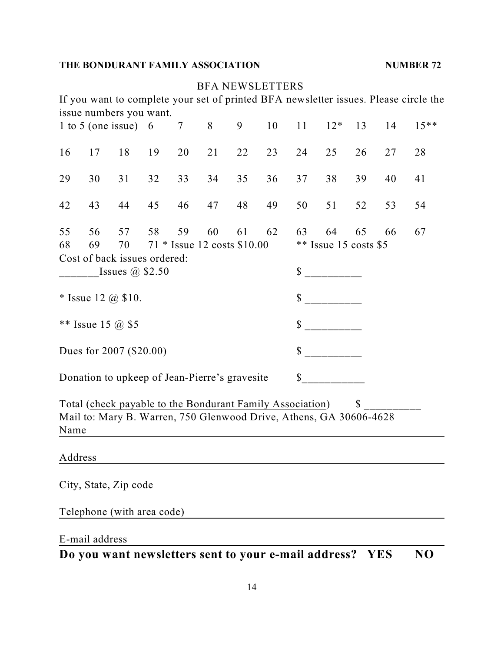|                                                                                                                                                         |                |                                                                                                                                 |    |                 |    | <b>BFA NEWSLETTERS</b> |          |                               |       |              |            |                                                                                      |  |
|---------------------------------------------------------------------------------------------------------------------------------------------------------|----------------|---------------------------------------------------------------------------------------------------------------------------------|----|-----------------|----|------------------------|----------|-------------------------------|-------|--------------|------------|--------------------------------------------------------------------------------------|--|
|                                                                                                                                                         |                | issue numbers you want.                                                                                                         |    |                 |    |                        |          |                               |       |              |            | If you want to complete your set of printed BFA newsletter issues. Please circle the |  |
|                                                                                                                                                         |                | 1 to 5 (one issue) 6                                                                                                            |    | $7\phantom{.0}$ | 8  | 9                      | 10       | 11                            | $12*$ | 13           | 14         | $15***$                                                                              |  |
| 16                                                                                                                                                      | 17             | 18                                                                                                                              | 19 | 20              | 21 | 22                     | 23       | 24                            | 25    | 26           | 27         | 28                                                                                   |  |
| 29                                                                                                                                                      | 30             | 31                                                                                                                              | 32 | 33              | 34 | 35                     | 36       | 37                            | 38    | 39           | 40         | 41                                                                                   |  |
| 42                                                                                                                                                      | 43             | 44                                                                                                                              | 45 | 46              | 47 | 48                     | 49       | 50                            | 51    | 52           | 53         | 54                                                                                   |  |
| 55<br>56<br>57<br>58<br>59<br>60<br>61<br>62<br>68<br>69<br>71 * Issue 12 costs \$10.00<br>70<br>Cost of back issues ordered:<br>Issues $\omega$ \$2.50 |                |                                                                                                                                 |    |                 |    |                        | 63<br>\$ | 64<br>$**$ Issue 15 costs \$5 | 65    | 66           | 67         |                                                                                      |  |
| * Issue 12 $\omega$ \$10.                                                                                                                               |                |                                                                                                                                 |    |                 |    |                        | \$       |                               |       |              |            |                                                                                      |  |
| ** Issue 15 @ \$5                                                                                                                                       |                |                                                                                                                                 |    |                 |    |                        |          | $\int$                        |       |              |            |                                                                                      |  |
| Dues for 2007 (\$20.00)                                                                                                                                 |                |                                                                                                                                 |    |                 |    |                        | \$       |                               |       |              |            |                                                                                      |  |
|                                                                                                                                                         |                | Donation to upkeep of Jean-Pierre's gravesite                                                                                   |    |                 |    |                        |          | \$                            |       |              |            |                                                                                      |  |
| Name                                                                                                                                                    |                | Total (check payable to the Bondurant Family Association)<br>Mail to: Mary B. Warren, 750 Glenwood Drive, Athens, GA 30606-4628 |    |                 |    |                        |          |                               |       | $\mathbb{S}$ |            |                                                                                      |  |
| Address                                                                                                                                                 |                |                                                                                                                                 |    |                 |    |                        |          |                               |       |              |            |                                                                                      |  |
|                                                                                                                                                         |                | City, State, Zip code                                                                                                           |    |                 |    |                        |          |                               |       |              |            |                                                                                      |  |
|                                                                                                                                                         |                | Telephone (with area code)                                                                                                      |    |                 |    |                        |          |                               |       |              |            |                                                                                      |  |
|                                                                                                                                                         | E-mail address |                                                                                                                                 |    |                 |    |                        |          |                               |       |              |            |                                                                                      |  |
|                                                                                                                                                         |                | Do you want newsletters sent to your e-mail address?                                                                            |    |                 |    |                        |          |                               |       |              | <b>YES</b> | N <sub>O</sub>                                                                       |  |